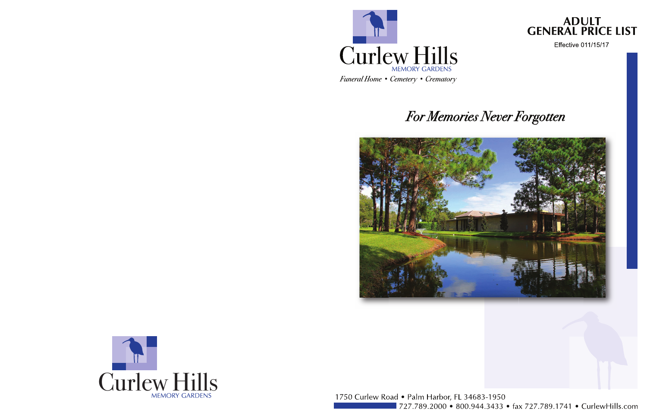

# For Memories Never Forgotten





1750 Curlew Road . Palm Harbor, FL 34683-1950 727.789.2000 • 800.944.3433 • fax 727.789.1741 • CurlewHills.com

# ADULT<br>GENERAL PRICE LIST

**Effective 011/15/17**